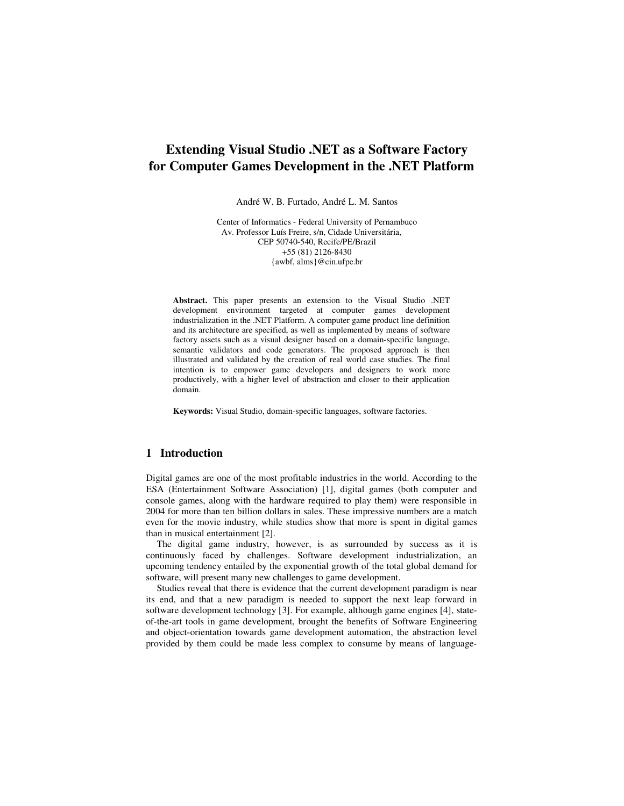# **Extending Visual Studio .NET as a Software Factory for Computer Games Development in the .NET Platform**

André W. B. Furtado, André L. M. Santos

Center of Informatics - Federal University of Pernambuco Av. Professor Luís Freire, s/n, Cidade Universitária, CEP 50740-540, Recife/PE/Brazil +55 (81) 2126-8430 {awbf, alms}@cin.ufpe.br

**Abstract.** This paper presents an extension to the Visual Studio .NET development environment targeted at computer games development industrialization in the .NET Platform. A computer game product line definition and its architecture are specified, as well as implemented by means of software factory assets such as a visual designer based on a domain-specific language, semantic validators and code generators. The proposed approach is then illustrated and validated by the creation of real world case studies. The final intention is to empower game developers and designers to work more productively, with a higher level of abstraction and closer to their application domain.

**Keywords:** Visual Studio, domain-specific languages, software factories.

# **1 Introduction**

Digital games are one of the most profitable industries in the world. According to the ESA (Entertainment Software Association) [1], digital games (both computer and console games, along with the hardware required to play them) were responsible in 2004 for more than ten billion dollars in sales. These impressive numbers are a match even for the movie industry, while studies show that more is spent in digital games than in musical entertainment [2].

The digital game industry, however, is as surrounded by success as it is continuously faced by challenges. Software development industrialization, an upcoming tendency entailed by the exponential growth of the total global demand for software, will present many new challenges to game development.

Studies reveal that there is evidence that the current development paradigm is near its end, and that a new paradigm is needed to support the next leap forward in software development technology [3]. For example, although game engines [4], stateof-the-art tools in game development, brought the benefits of Software Engineering and object-orientation towards game development automation, the abstraction level provided by them could be made less complex to consume by means of language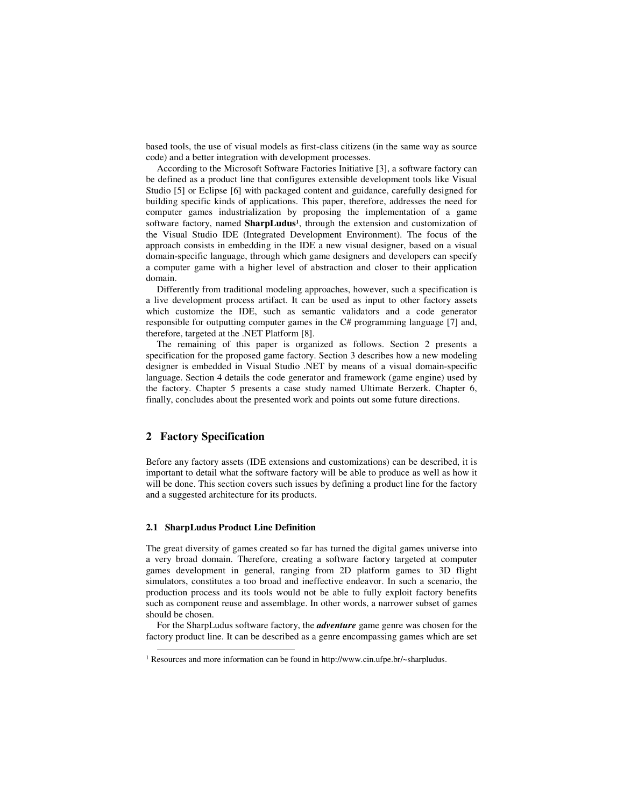based tools, the use of visual models as first-class citizens (in the same way as source code) and a better integration with development processes.

According to the Microsoft Software Factories Initiative [3], a software factory can be defined as a product line that configures extensible development tools like Visual Studio [5] or Eclipse [6] with packaged content and guidance, carefully designed for building specific kinds of applications. This paper, therefore, addresses the need for computer games industrialization by proposing the implementation of a game software factory, named **SharpLudus<sup>1</sup>** , through the extension and customization of the Visual Studio IDE (Integrated Development Environment). The focus of the approach consists in embedding in the IDE a new visual designer, based on a visual domain-specific language, through which game designers and developers can specify a computer game with a higher level of abstraction and closer to their application domain.

Differently from traditional modeling approaches, however, such a specification is a live development process artifact. It can be used as input to other factory assets which customize the IDE, such as semantic validators and a code generator responsible for outputting computer games in the C# programming language [7] and, therefore, targeted at the .NET Platform [8].

The remaining of this paper is organized as follows. Section 2 presents a specification for the proposed game factory. Section 3 describes how a new modeling designer is embedded in Visual Studio .NET by means of a visual domain-specific language. Section 4 details the code generator and framework (game engine) used by the factory. Chapter 5 presents a case study named Ultimate Berzerk. Chapter 6, finally, concludes about the presented work and points out some future directions.

# **2 Factory Specification**

<u>.</u>

Before any factory assets (IDE extensions and customizations) can be described, it is important to detail what the software factory will be able to produce as well as how it will be done. This section covers such issues by defining a product line for the factory and a suggested architecture for its products.

#### **2.1 SharpLudus Product Line Definition**

The great diversity of games created so far has turned the digital games universe into a very broad domain. Therefore, creating a software factory targeted at computer games development in general, ranging from 2D platform games to 3D flight simulators, constitutes a too broad and ineffective endeavor. In such a scenario, the production process and its tools would not be able to fully exploit factory benefits such as component reuse and assemblage. In other words, a narrower subset of games should be chosen.

For the SharpLudus software factory, the *adventure* game genre was chosen for the factory product line. It can be described as a genre encompassing games which are set

<sup>&</sup>lt;sup>1</sup> Resources and more information can be found in http://www.cin.ufpe.br/~sharpludus.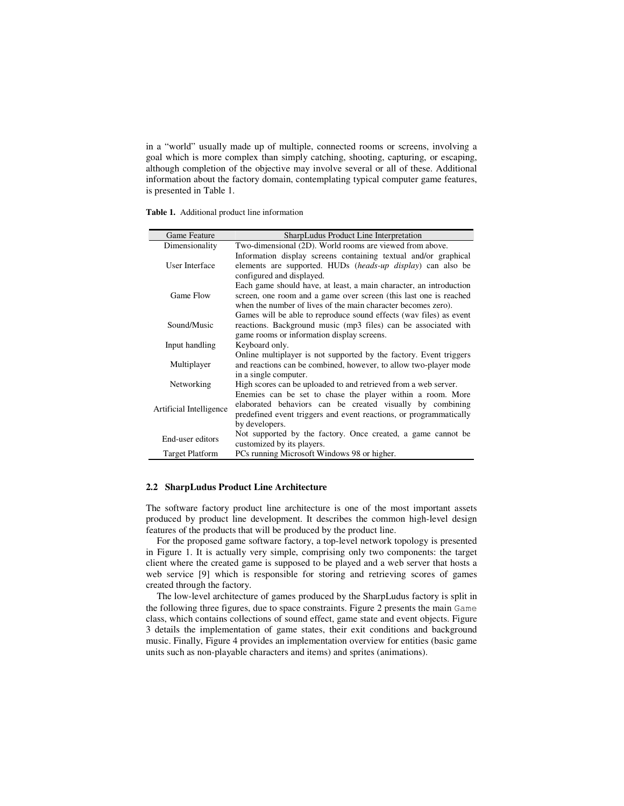in a "world" usually made up of multiple, connected rooms or screens, involving a goal which is more complex than simply catching, shooting, capturing, or escaping, although completion of the objective may involve several or all of these. Additional information about the factory domain, contemplating typical computer game features, is presented in Table 1.

|  |  |  |  | <b>Table 1.</b> Additional product line information |
|--|--|--|--|-----------------------------------------------------|
|--|--|--|--|-----------------------------------------------------|

| Game Feature            | SharpLudus Product Line Interpretation                                                                                                |
|-------------------------|---------------------------------------------------------------------------------------------------------------------------------------|
| Dimensionality          | Two-dimensional (2D). World rooms are viewed from above.                                                                              |
| User Interface          | Information display screens containing textual and/or graphical<br>elements are supported. HUDs <i>(heads-up display)</i> can also be |
|                         | configured and displayed.                                                                                                             |
|                         | Each game should have, at least, a main character, an introduction                                                                    |
| Game Flow               | screen, one room and a game over screen (this last one is reached<br>when the number of lives of the main character becomes zero).    |
|                         | Games will be able to reproduce sound effects (wav files) as event                                                                    |
| Sound/Music             | reactions. Background music (mp3 files) can be associated with                                                                        |
|                         | game rooms or information display screens.                                                                                            |
| Input handling          | Keyboard only.                                                                                                                        |
|                         | Online multiplayer is not supported by the factory. Event triggers                                                                    |
| Multiplayer             | and reactions can be combined, however, to allow two-player mode                                                                      |
|                         | in a single computer.                                                                                                                 |
| Networking              | High scores can be uploaded to and retrieved from a web server.                                                                       |
|                         | Enemies can be set to chase the player within a room. More                                                                            |
| Artificial Intelligence | elaborated behaviors can be created visually by combining                                                                             |
|                         | predefined event triggers and event reactions, or programmatically                                                                    |
|                         | by developers.                                                                                                                        |
| End-user editors        | Not supported by the factory. Once created, a game cannot be<br>customized by its players.                                            |
| <b>Target Platform</b>  | PCs running Microsoft Windows 98 or higher.                                                                                           |
|                         |                                                                                                                                       |

#### **2.2 SharpLudus Product Line Architecture**

The software factory product line architecture is one of the most important assets produced by product line development. It describes the common high-level design features of the products that will be produced by the product line.

For the proposed game software factory, a top-level network topology is presented in Figure 1. It is actually very simple, comprising only two components: the target client where the created game is supposed to be played and a web server that hosts a web service [9] which is responsible for storing and retrieving scores of games created through the factory.

The low-level architecture of games produced by the SharpLudus factory is split in the following three figures, due to space constraints. Figure 2 presents the main Game class, which contains collections of sound effect, game state and event objects. Figure 3 details the implementation of game states, their exit conditions and background music. Finally, Figure 4 provides an implementation overview for entities (basic game units such as non-playable characters and items) and sprites (animations).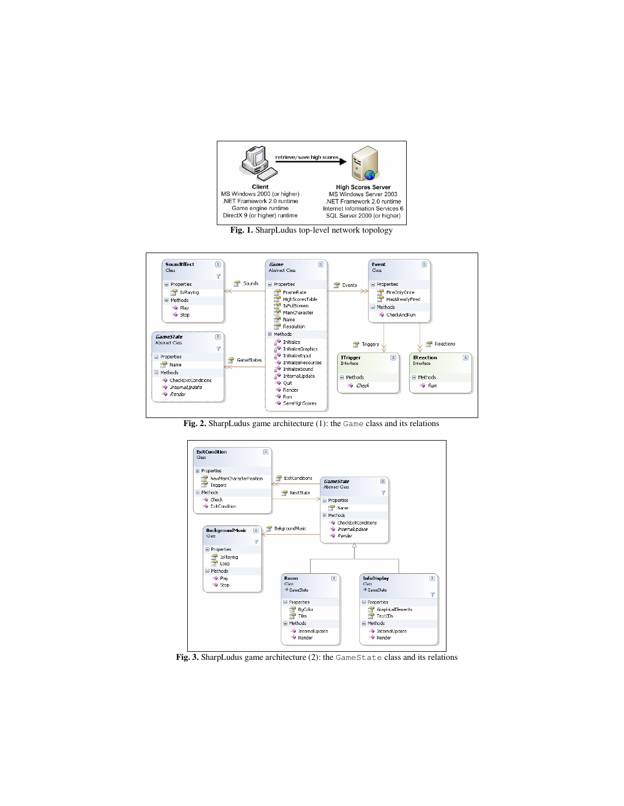

**Fig. 1.** SharpLudus top-level network topology



**Fig. 2.** SharpLudus game architecture (1): the Game class and its relations



**Fig. 3.** SharpLudus game architecture (2): the GameState class and its relations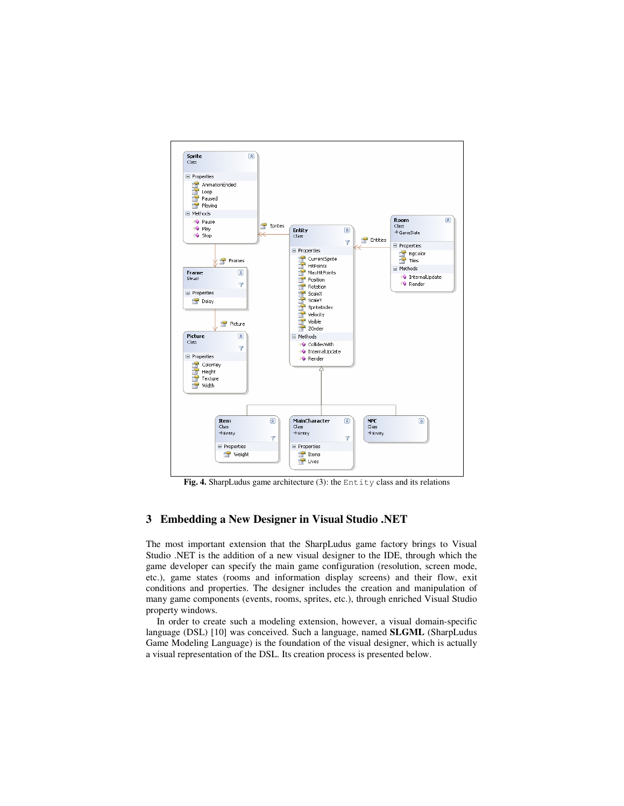

Fig. 4. SharpLudus game architecture (3): the Entity class and its relations

# **3 Embedding a New Designer in Visual Studio .NET**

The most important extension that the SharpLudus game factory brings to Visual Studio .NET is the addition of a new visual designer to the IDE, through which the game developer can specify the main game configuration (resolution, screen mode, etc.), game states (rooms and information display screens) and their flow, exit conditions and properties. The designer includes the creation and manipulation of many game components (events, rooms, sprites, etc.), through enriched Visual Studio property windows.

In order to create such a modeling extension, however, a visual domain-specific language (DSL) [10] was conceived. Such a language, named **SLGML** (SharpLudus Game Modeling Language) is the foundation of the visual designer, which is actually a visual representation of the DSL. Its creation process is presented below.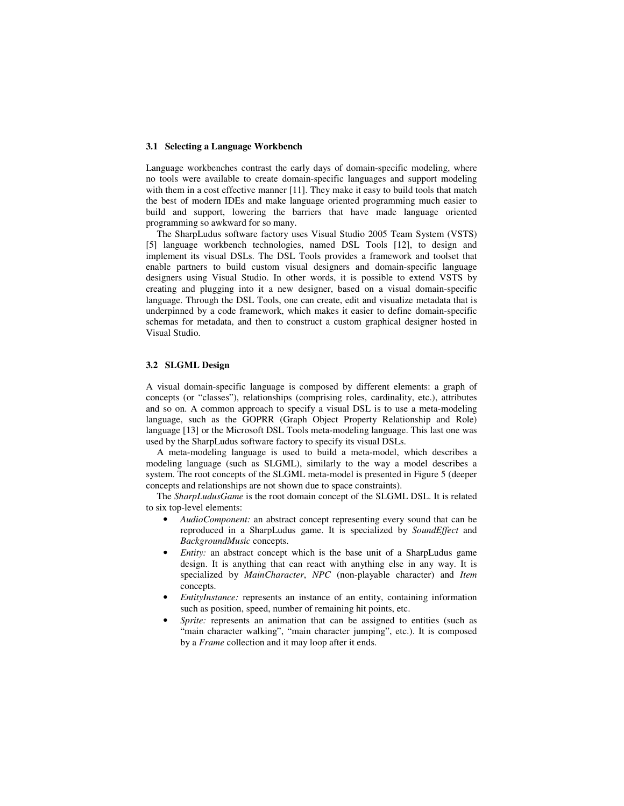#### **3.1 Selecting a Language Workbench**

Language workbenches contrast the early days of domain-specific modeling, where no tools were available to create domain-specific languages and support modeling with them in a cost effective manner [11]. They make it easy to build tools that match the best of modern IDEs and make language oriented programming much easier to build and support, lowering the barriers that have made language oriented programming so awkward for so many.

The SharpLudus software factory uses Visual Studio 2005 Team System (VSTS) [5] language workbench technologies, named DSL Tools [12], to design and implement its visual DSLs. The DSL Tools provides a framework and toolset that enable partners to build custom visual designers and domain-specific language designers using Visual Studio. In other words, it is possible to extend VSTS by creating and plugging into it a new designer, based on a visual domain-specific language. Through the DSL Tools, one can create, edit and visualize metadata that is underpinned by a code framework, which makes it easier to define domain-specific schemas for metadata, and then to construct a custom graphical designer hosted in Visual Studio.

#### **3.2 SLGML Design**

A visual domain-specific language is composed by different elements: a graph of concepts (or "classes"), relationships (comprising roles, cardinality, etc.), attributes and so on. A common approach to specify a visual DSL is to use a meta-modeling language, such as the GOPRR (Graph Object Property Relationship and Role) language [13] or the Microsoft DSL Tools meta-modeling language. This last one was used by the SharpLudus software factory to specify its visual DSLs.

A meta-modeling language is used to build a meta-model, which describes a modeling language (such as SLGML), similarly to the way a model describes a system. The root concepts of the SLGML meta-model is presented in Figure 5 (deeper concepts and relationships are not shown due to space constraints).

The *SharpLudusGame* is the root domain concept of the SLGML DSL. It is related to six top-level elements:

- *AudioComponent:* an abstract concept representing every sound that can be reproduced in a SharpLudus game. It is specialized by *SoundEffect* and *BackgroundMusic* concepts.
- *Entity:* an abstract concept which is the base unit of a SharpLudus game design. It is anything that can react with anything else in any way. It is specialized by *MainCharacter*, *NPC* (non-playable character) and *Item* concepts.
- *EntityInstance:* represents an instance of an entity, containing information such as position, speed, number of remaining hit points, etc.
- Sprite: represents an animation that can be assigned to entities (such as "main character walking", "main character jumping", etc.). It is composed by a *Frame* collection and it may loop after it ends.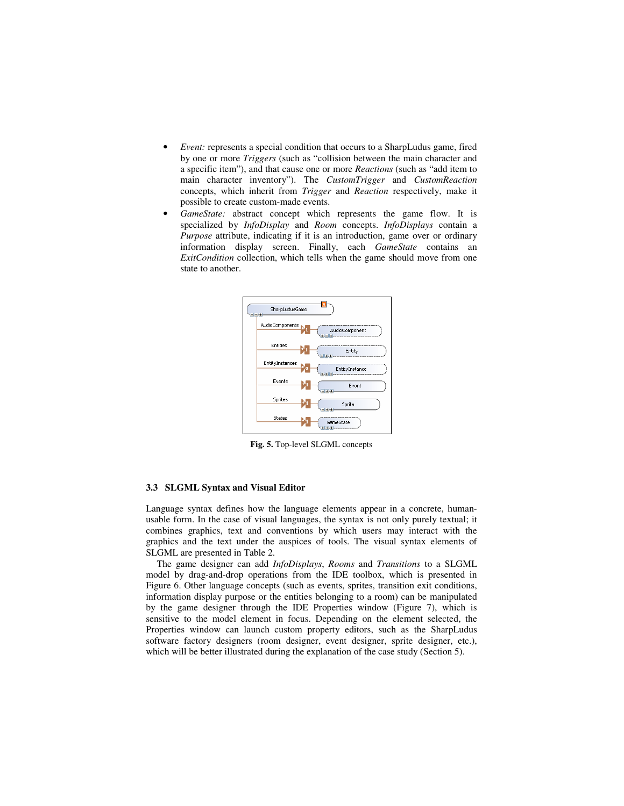- *Event:* represents a special condition that occurs to a SharpLudus game, fired by one or more *Triggers* (such as "collision between the main character and a specific item"), and that cause one or more *Reactions* (such as "add item to main character inventory"). The *CustomTrigger* and *CustomReaction* concepts, which inherit from *Trigger* and *Reaction* respectively, make it possible to create custom-made events.
- GameState: abstract concept which represents the game flow. It is specialized by *InfoDisplay* and *Room* concepts. *InfoDisplays* contain a *Purpose* attribute, indicating if it is an introduction, game over or ordinary information display screen. Finally, each *GameState* contains an *ExitCondition* collection, which tells when the game should move from one state to another.



**Fig. 5.** Top-level SLGML concepts

# **3.3 SLGML Syntax and Visual Editor**

Language syntax defines how the language elements appear in a concrete, humanusable form. In the case of visual languages, the syntax is not only purely textual; it combines graphics, text and conventions by which users may interact with the graphics and the text under the auspices of tools. The visual syntax elements of SLGML are presented in Table 2.

The game designer can add *InfoDisplays*, *Rooms* and *Transitions* to a SLGML model by drag-and-drop operations from the IDE toolbox, which is presented in Figure 6. Other language concepts (such as events, sprites, transition exit conditions, information display purpose or the entities belonging to a room) can be manipulated by the game designer through the IDE Properties window (Figure 7), which is sensitive to the model element in focus. Depending on the element selected, the Properties window can launch custom property editors, such as the SharpLudus software factory designers (room designer, event designer, sprite designer, etc.), which will be better illustrated during the explanation of the case study (Section 5).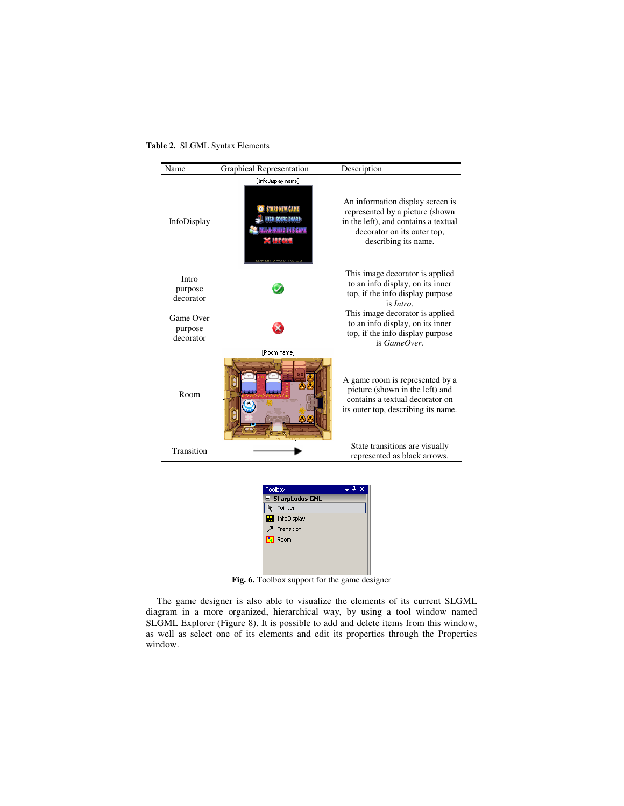**Table 2.** SLGML Syntax Elements



**Fig. 6.** Toolbox support for the game designer

The game designer is also able to visualize the elements of its current SLGML diagram in a more organized, hierarchical way, by using a tool window named SLGML Explorer (Figure 8). It is possible to add and delete items from this window, as well as select one of its elements and edit its properties through the Properties window.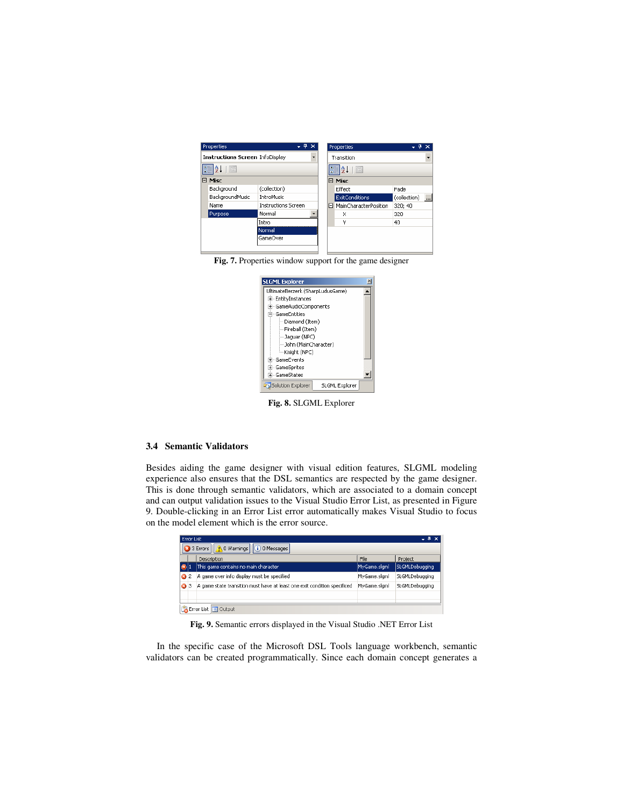|                            |                                        |       | Properties            |                                                                 |                          |
|----------------------------|----------------------------------------|-------|-----------------------|-----------------------------------------------------------------|--------------------------|
|                            | ۰,                                     |       |                       |                                                                 |                          |
|                            |                                        |       | <b>I</b> ca           |                                                                 |                          |
| Misc<br>8                  |                                        |       |                       |                                                                 |                          |
| (collection)               |                                        |       | Effect                | Fade                                                            |                          |
| <b>IntroMusic</b>          |                                        |       | <b>ExitConditions</b> | (collection)                                                    | $\overline{\phantom{a}}$ |
| <b>Instructions Screen</b> |                                        |       |                       | 320; 40                                                         |                          |
| Normal                     |                                        |       | X                     | 320                                                             |                          |
| Intro                      |                                        |       | ٧                     | 40                                                              |                          |
| Normal                     |                                        |       |                       |                                                                 |                          |
| GameOver                   |                                        |       |                       |                                                                 |                          |
|                            | <b>Instructions Screen InfoDisplay</b> | $-4x$ |                       | Transition<br><b>BELAL</b><br>□ Misc<br>□ MainCharacterPosition |                          |

**Fig. 7.** Properties window support for the game designer



**Fig. 8.** SLGML Explorer

#### **3.4 Semantic Validators**

Besides aiding the game designer with visual edition features, SLGML modeling experience also ensures that the DSL semantics are respected by the game designer. This is done through semantic validators, which are associated to a domain concept and can output validation issues to the Visual Studio Error List, as presented in Figure 9. Double-clicking in an Error List error automatically makes Visual Studio to focus on the model element which is the error source.

|              | Error List                                                 |                                                                          |              |                |  |
|--------------|------------------------------------------------------------|--------------------------------------------------------------------------|--------------|----------------|--|
|              | 3 Errors $  \bigwedge 0$ Warnings $  \big $ (i) 0 Messages |                                                                          |              |                |  |
|              |                                                            | Description                                                              | File         | Project        |  |
| $\mathbf{X}$ |                                                            | This game contains no main character                                     | MyGame.slgml | SLGMLDebugging |  |
| ◶            | $\overline{c}$                                             | A game over info display must be specified                               | MyGame.slgml | SLGMLDebugging |  |
| ☎            | 3                                                          | A game state transition must have at least one exit condition specificed | MyGame.slgml | SLGMLDebugging |  |
|              |                                                            |                                                                          |              |                |  |
|              |                                                            | Error List E Output                                                      |              |                |  |

**Fig. 9.** Semantic errors displayed in the Visual Studio .NET Error List

In the specific case of the Microsoft DSL Tools language workbench, semantic validators can be created programmatically. Since each domain concept generates a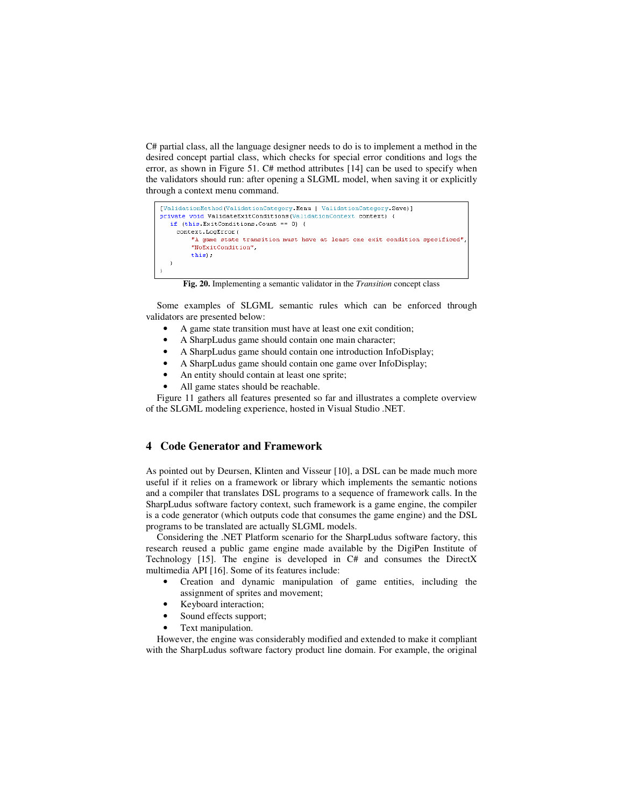C# partial class, all the language designer needs to do is to implement a method in the desired concept partial class, which checks for special error conditions and logs the error, as shown in Figure 51. C# method attributes [14] can be used to specify when the validators should run: after opening a SLGML model, when saving it or explicitly through a context menu command.

```
[ValidationMethod(ValidationCategory.Menu | ValidationCategory.Save)]
private void ValidateExitConditions(ValidationContext context) {
  if (this. ExitConditions. Count == 0) {
    context. LogError (
         "A game state transition must have at least one exit condition specificed"
         "NoExitCondition",
         this);
  \overline{\phantom{a}}
```
**Fig. 20.** Implementing a semantic validator in the *Transition* concept class

Some examples of SLGML semantic rules which can be enforced through validators are presented below:

- A game state transition must have at least one exit condition;
- A SharpLudus game should contain one main character;
- A SharpLudus game should contain one introduction InfoDisplay;
- A SharpLudus game should contain one game over InfoDisplay;
- An entity should contain at least one sprite;
- All game states should be reachable.

Figure 11 gathers all features presented so far and illustrates a complete overview of the SLGML modeling experience, hosted in Visual Studio .NET.

#### **4 Code Generator and Framework**

As pointed out by Deursen, Klinten and Visseur [10], a DSL can be made much more useful if it relies on a framework or library which implements the semantic notions and a compiler that translates DSL programs to a sequence of framework calls. In the SharpLudus software factory context, such framework is a game engine, the compiler is a code generator (which outputs code that consumes the game engine) and the DSL programs to be translated are actually SLGML models.

Considering the .NET Platform scenario for the SharpLudus software factory, this research reused a public game engine made available by the DigiPen Institute of Technology [15]. The engine is developed in C# and consumes the DirectX multimedia API [16]. Some of its features include:

- Creation and dynamic manipulation of game entities, including the assignment of sprites and movement;
- Keyboard interaction;
- Sound effects support;
- Text manipulation.

However, the engine was considerably modified and extended to make it compliant with the SharpLudus software factory product line domain. For example, the original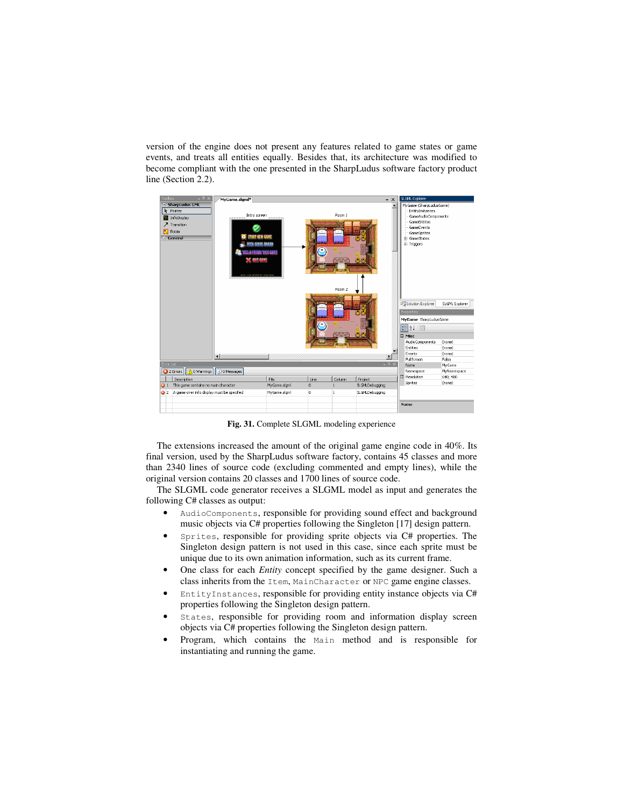version of the engine does not present any features related to game states or game events, and treats all entities equally. Besides that, its architecture was modified to become compliant with the one presented in the SharpLudus software factory product line (Section 2.2).



**Fig. 31.** Complete SLGML modeling experience

The extensions increased the amount of the original game engine code in 40%. Its final version, used by the SharpLudus software factory, contains 45 classes and more than 2340 lines of source code (excluding commented and empty lines), while the original version contains 20 classes and 1700 lines of source code.

The SLGML code generator receives a SLGML model as input and generates the following C# classes as output:

- AudioComponents, responsible for providing sound effect and background music objects via C# properties following the Singleton [17] design pattern.
- Sprites, responsible for providing sprite objects via C# properties. The Singleton design pattern is not used in this case, since each sprite must be unique due to its own animation information, such as its current frame.
- One class for each *Entity* concept specified by the game designer. Such a class inherits from the Item, MainCharacter or NPC game engine classes.
- EntityInstances, responsible for providing entity instance objects via C# properties following the Singleton design pattern.
- States, responsible for providing room and information display screen objects via C# properties following the Singleton design pattern.
- Program, which contains the Main method and is responsible for instantiating and running the game.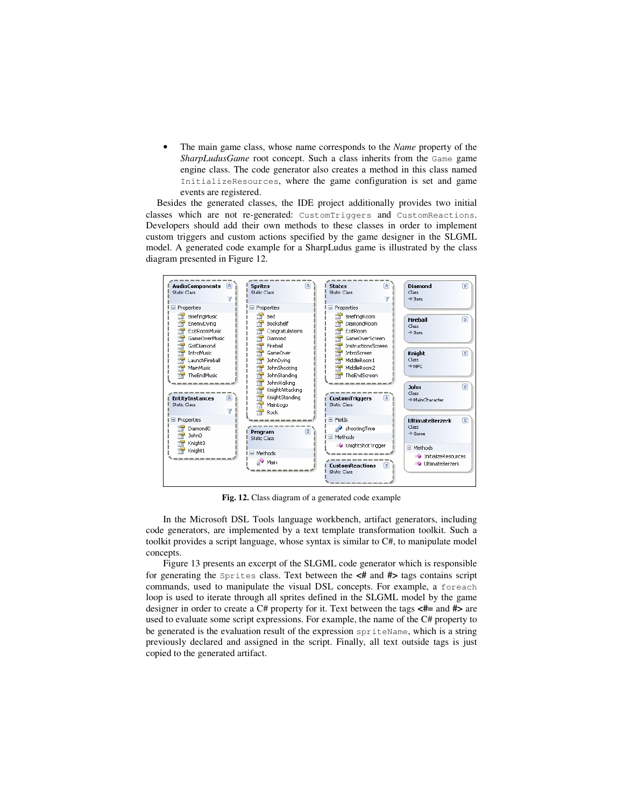• The main game class, whose name corresponds to the *Name* property of the *SharpLudusGame* root concept. Such a class inherits from the Game game engine class. The code generator also creates a method in this class named InitializeResources, where the game configuration is set and game events are registered.

Besides the generated classes, the IDE project additionally provides two initial classes which are not re-generated: CustomTriggers and CustomReactions. Developers should add their own methods to these classes in order to implement custom triggers and custom actions specified by the game designer in the SLGML model. A generated code example for a SharpLudus game is illustrated by the class diagram presented in Figure 12.



**Fig. 12.** Class diagram of a generated code example

In the Microsoft DSL Tools language workbench, artifact generators, including code generators, are implemented by a text template transformation toolkit. Such a toolkit provides a script language, whose syntax is similar to C#, to manipulate model concepts.

Figure 13 presents an excerpt of the SLGML code generator which is responsible for generating the Sprites class. Text between the **<#** and **#>** tags contains script commands, used to manipulate the visual DSL concepts. For example, a foreach loop is used to iterate through all sprites defined in the SLGML model by the game designer in order to create a C# property for it. Text between the tags **<#=** and **#>** are used to evaluate some script expressions. For example, the name of the C# property to be generated is the evaluation result of the expression spriteName, which is a string previously declared and assigned in the script. Finally, all text outside tags is just copied to the generated artifact.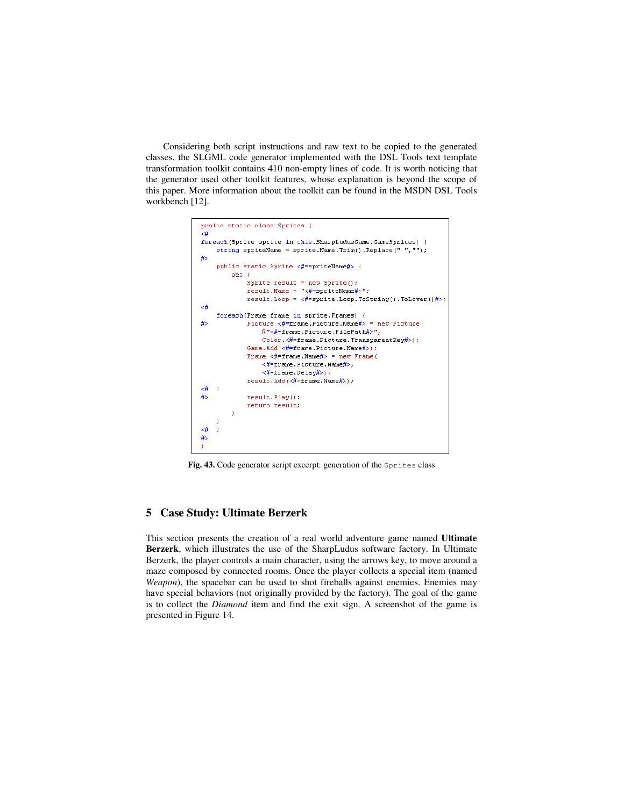Considering both script instructions and raw text to be copied to the generated classes, the SLGML code generator implemented with the DSL Tools text template transformation toolkit contains 410 non-empty lines of code. It is worth noticing that the generator used other toolkit features, whose explanation is beyond the scope of this paper. More information about the toolkit can be found in the MSDN DSL Tools workbench [12].



Fig. 43. Code generator script excerpt: generation of the Sprites class

## **5 Case Study: Ultimate Berzerk**

This section presents the creation of a real world adventure game named **Ultimate Berzerk**, which illustrates the use of the SharpLudus software factory. In Ultimate Berzerk, the player controls a main character, using the arrows key, to move around a maze composed by connected rooms. Once the player collects a special item (named *Weapon*), the spacebar can be used to shot fireballs against enemies. Enemies may have special behaviors (not originally provided by the factory). The goal of the game is to collect the *Diamond* item and find the exit sign. A screenshot of the game is presented in Figure 14.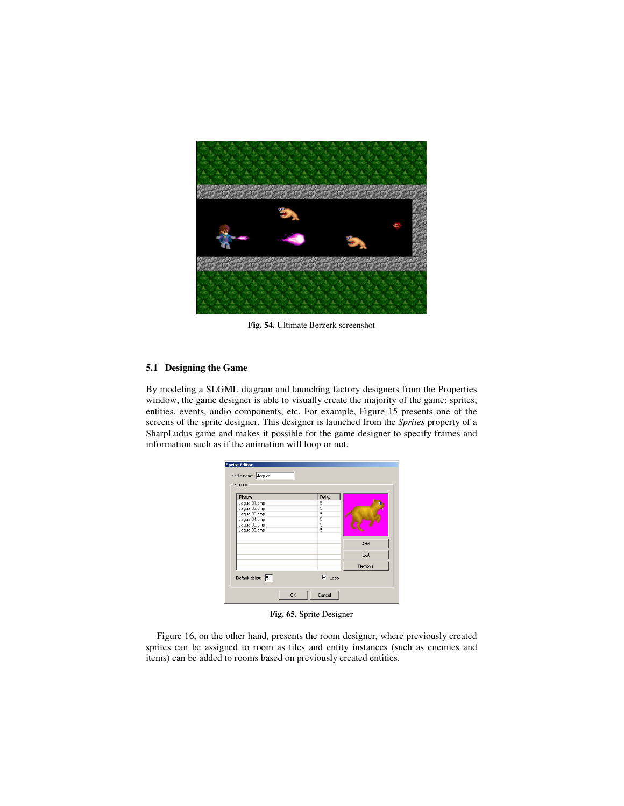

**Fig. 54.** Ultimate Berzerk screenshot

#### **5.1 Designing the Game**

By modeling a SLGML diagram and launching factory designers from the Properties window, the game designer is able to visually create the majority of the game: sprites, entities, events, audio components, etc. For example, Figure 15 presents one of the screens of the sprite designer. This designer is launched from the *Sprites* property of a SharpLudus game and makes it possible for the game designer to specify frames and information such as if the animation will loop or not.

| Picture                      |  | Delay  |        |
|------------------------------|--|--------|--------|
| Jaquar01.bmp                 |  | 5      |        |
| Jaquar02.bmp                 |  | 5      |        |
| Jaquar03.bmp                 |  | 5      |        |
| Jaguar04.bmp                 |  | 5<br>5 |        |
| Jaguar05.bmp<br>Jaguar06.bmp |  | 5      |        |
|                              |  |        |        |
|                              |  |        | Add    |
|                              |  |        | Edit   |
|                              |  |        | Remove |

**Fig. 65.** Sprite Designer

Figure 16, on the other hand, presents the room designer, where previously created sprites can be assigned to room as tiles and entity instances (such as enemies and items) can be added to rooms based on previously created entities.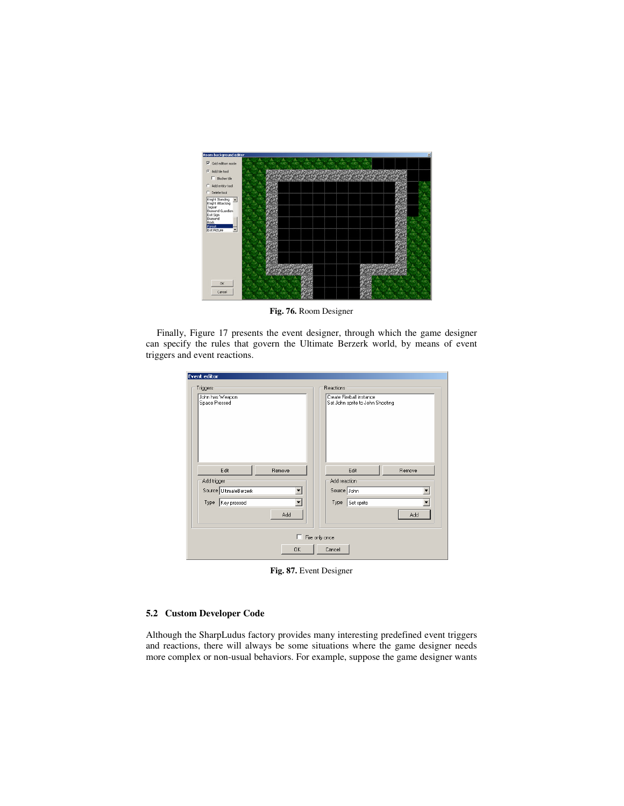

**Fig. 76.** Room Designer

Finally, Figure 17 presents the event designer, through which the game designer can specify the rules that govern the Ultimate Berzerk world, by means of event triggers and event reactions.

| Event editor           |                                  |
|------------------------|----------------------------------|
| Triggers               | Reactions                        |
| John has Weapon        | Create Fireball instance         |
| Space Pressed          | Set John sprite to John Shooting |
| Edit                   | Edit                             |
| Remove                 | Remove                           |
| Add trigger            | Add reaction                     |
| Source UltimateBerzerk | Source John                      |
| Type Key pressed       | Type Set sprite                  |
| Add                    | Add                              |
| п                      | Fire only once                   |
| <b>OK</b>              | Cancel                           |

**Fig. 87.** Event Designer

# **5.2 Custom Developer Code**

Although the SharpLudus factory provides many interesting predefined event triggers and reactions, there will always be some situations where the game designer needs more complex or non-usual behaviors. For example, suppose the game designer wants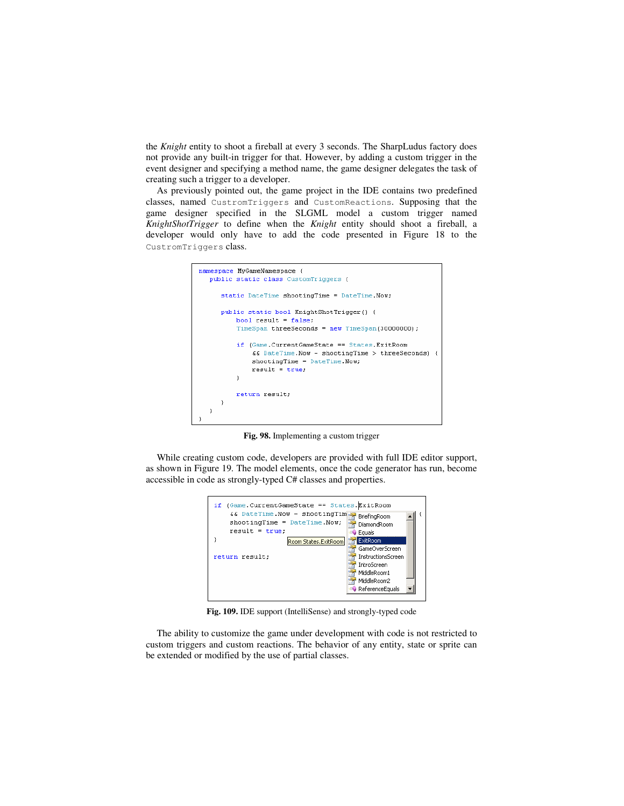the *Knight* entity to shoot a fireball at every 3 seconds. The SharpLudus factory does not provide any built-in trigger for that. However, by adding a custom trigger in the event designer and specifying a method name, the game designer delegates the task of creating such a trigger to a developer.

As previously pointed out, the game project in the IDE contains two predefined classes, named CustromTriggers and CustomReactions. Supposing that the game designer specified in the SLGML model a custom trigger named *KnightShotTrigger* to define when the *Knight* entity should shoot a fireball, a developer would only have to add the code presented in Figure 18 to the CustromTriggers class.



**Fig. 98.** Implementing a custom trigger

While creating custom code, developers are provided with full IDE editor support, as shown in Figure 19. The model elements, once the code generator has run, become accessible in code as strongly-typed C# classes and properties.



**Fig. 109.** IDE support (IntelliSense) and strongly-typed code

The ability to customize the game under development with code is not restricted to custom triggers and custom reactions. The behavior of any entity, state or sprite can be extended or modified by the use of partial classes.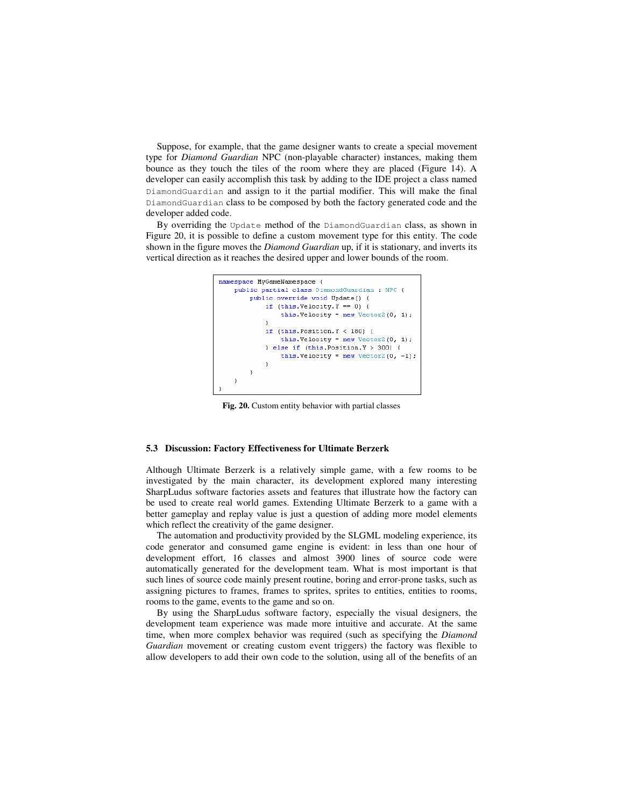Suppose, for example, that the game designer wants to create a special movement type for *Diamond Guardian* NPC (non-playable character) instances, making them bounce as they touch the tiles of the room where they are placed (Figure 14). A developer can easily accomplish this task by adding to the IDE project a class named DiamondGuardian and assign to it the partial modifier. This will make the final DiamondGuardian class to be composed by both the factory generated code and the developer added code.

By overriding the Update method of the DiamondGuardian class, as shown in Figure 20, it is possible to define a custom movement type for this entity. The code shown in the figure moves the *Diamond Guardian* up, if it is stationary, and inverts its vertical direction as it reaches the desired upper and lower bounds of the room.



**Fig. 20.** Custom entity behavior with partial classes

#### **5.3 Discussion: Factory Effectiveness for Ultimate Berzerk**

Although Ultimate Berzerk is a relatively simple game, with a few rooms to be investigated by the main character, its development explored many interesting SharpLudus software factories assets and features that illustrate how the factory can be used to create real world games. Extending Ultimate Berzerk to a game with a better gameplay and replay value is just a question of adding more model elements which reflect the creativity of the game designer.

The automation and productivity provided by the SLGML modeling experience, its code generator and consumed game engine is evident: in less than one hour of development effort, 16 classes and almost 3900 lines of source code were automatically generated for the development team. What is most important is that such lines of source code mainly present routine, boring and error-prone tasks, such as assigning pictures to frames, frames to sprites, sprites to entities, entities to rooms, rooms to the game, events to the game and so on.

By using the SharpLudus software factory, especially the visual designers, the development team experience was made more intuitive and accurate. At the same time, when more complex behavior was required (such as specifying the *Diamond Guardian* movement or creating custom event triggers) the factory was flexible to allow developers to add their own code to the solution, using all of the benefits of an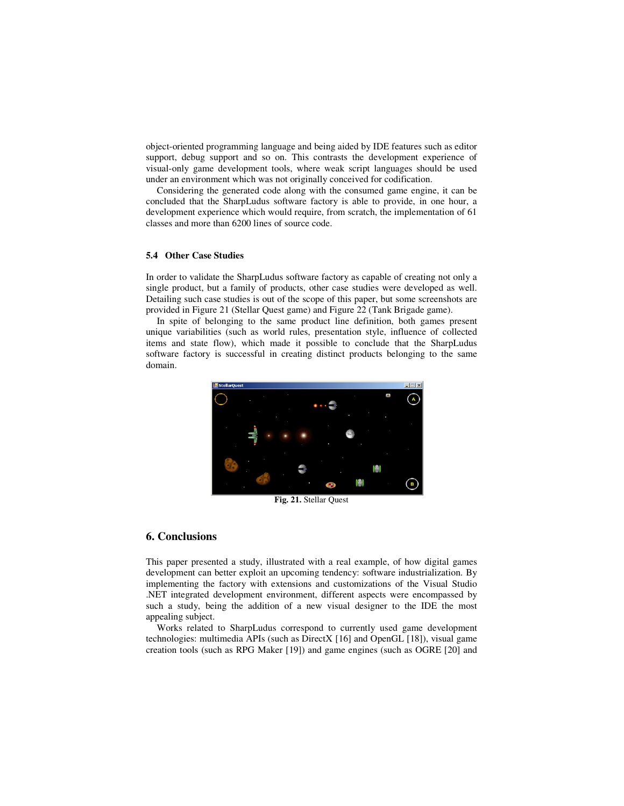object-oriented programming language and being aided by IDE features such as editor support, debug support and so on. This contrasts the development experience of visual-only game development tools, where weak script languages should be used under an environment which was not originally conceived for codification.

Considering the generated code along with the consumed game engine, it can be concluded that the SharpLudus software factory is able to provide, in one hour, a development experience which would require, from scratch, the implementation of 61 classes and more than 6200 lines of source code.

#### **5.4 Other Case Studies**

In order to validate the SharpLudus software factory as capable of creating not only a single product, but a family of products, other case studies were developed as well. Detailing such case studies is out of the scope of this paper, but some screenshots are provided in Figure 21 (Stellar Quest game) and Figure 22 (Tank Brigade game).

In spite of belonging to the same product line definition, both games present unique variabilities (such as world rules, presentation style, influence of collected items and state flow), which made it possible to conclude that the SharpLudus software factory is successful in creating distinct products belonging to the same domain.



**Fig. 21.** Stellar Quest

## **6. Conclusions**

This paper presented a study, illustrated with a real example, of how digital games development can better exploit an upcoming tendency: software industrialization. By implementing the factory with extensions and customizations of the Visual Studio .NET integrated development environment, different aspects were encompassed by such a study, being the addition of a new visual designer to the IDE the most appealing subject.

Works related to SharpLudus correspond to currently used game development technologies: multimedia APIs (such as DirectX [16] and OpenGL [18]), visual game creation tools (such as RPG Maker [19]) and game engines (such as OGRE [20] and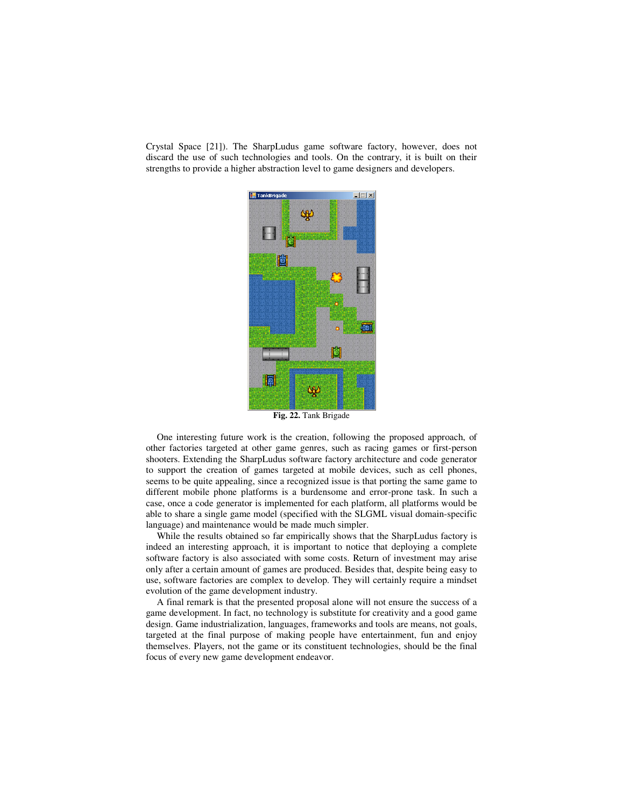Crystal Space [21]). The SharpLudus game software factory, however, does not discard the use of such technologies and tools. On the contrary, it is built on their strengths to provide a higher abstraction level to game designers and developers.



**Fig. 22.** Tank Brigade

One interesting future work is the creation, following the proposed approach, of other factories targeted at other game genres, such as racing games or first-person shooters. Extending the SharpLudus software factory architecture and code generator to support the creation of games targeted at mobile devices, such as cell phones, seems to be quite appealing, since a recognized issue is that porting the same game to different mobile phone platforms is a burdensome and error-prone task. In such a case, once a code generator is implemented for each platform, all platforms would be able to share a single game model (specified with the SLGML visual domain-specific language) and maintenance would be made much simpler.

While the results obtained so far empirically shows that the SharpLudus factory is indeed an interesting approach, it is important to notice that deploying a complete software factory is also associated with some costs. Return of investment may arise only after a certain amount of games are produced. Besides that, despite being easy to use, software factories are complex to develop. They will certainly require a mindset evolution of the game development industry.

A final remark is that the presented proposal alone will not ensure the success of a game development. In fact, no technology is substitute for creativity and a good game design. Game industrialization, languages, frameworks and tools are means, not goals, targeted at the final purpose of making people have entertainment, fun and enjoy themselves. Players, not the game or its constituent technologies, should be the final focus of every new game development endeavor.